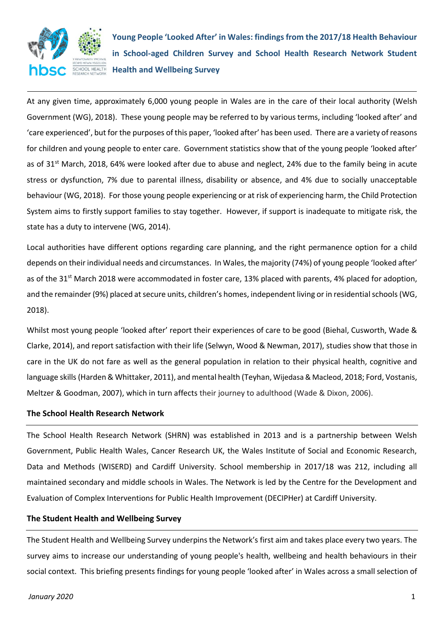

**Young People 'Looked After' in Wales: findings from the 2017/18 Health Behaviour in School-aged Children Survey and School Health Research Network Student Health and Wellbeing Survey** 

At any given time, approximately 6,000 young people in Wales are in the care of their local authority (Welsh Government (WG), 2018). These young people may be referred to by various terms, including 'looked after' and 'care experienced', but for the purposes of this paper, 'looked after' has been used. There are a variety of reasons for children and young people to enter care. Government statistics show that of the young people 'looked after' as of 31st March, 2018, 64% were looked after due to abuse and neglect, 24% due to the family being in acute stress or dysfunction, 7% due to parental illness, disability or absence, and 4% due to socially unacceptable behaviour (WG, 2018). For those young people experiencing or at risk of experiencing harm, the Child Protection System aims to firstly support families to stay together. However, if support is inadequate to mitigate risk, the state has a duty to intervene (WG, 2014).

Local authorities have different options regarding care planning, and the right permanence option for a child depends on their individual needs and circumstances. In Wales, the majority (74%) of young people 'looked after' as of the 31<sup>st</sup> March 2018 were accommodated in foster care, 13% placed with parents, 4% placed for adoption, and the remainder (9%) placed at secure units, children's homes, independent living or in residential schools(WG, 2018).

Whilst most young people 'looked after' report their experiences of care to be good (Biehal, Cusworth, Wade & Clarke, 2014), and report satisfaction with their life (Selwyn, Wood & Newman, 2017), studies show that those in care in the UK do not fare as well as the general population in relation to their physical health, cognitive and language skills (Harden & Whittaker, 2011), and mental health (Teyhan, Wijedasa & Macleod, 2018; Ford, Vostanis, Meltzer & Goodman, 2007), which in turn affects their journey to adulthood (Wade & Dixon, 2006).

#### **The School Health Research Network**

The School Health Research Network (SHRN) was established in 2013 and is a partnership between Welsh Government, Public Health Wales, Cancer Research UK, the Wales Institute of Social and Economic Research, Data and Methods (WISERD) and Cardiff University. School membership in 2017/18 was 212, including all maintained secondary and middle schools in Wales. The Network is led by the Centre for the Development and Evaluation of Complex Interventions for Public Health Improvement (DECIPHer) at Cardiff University.

### **The Student Health and Wellbeing Survey**

The Student Health and Wellbeing Survey underpins the Network's first aim and takes place every two years. The survey aims to increase our understanding of young people's health, wellbeing and health behaviours in their social context. This briefing presents findings for young people 'looked after' in Wales across a small selection of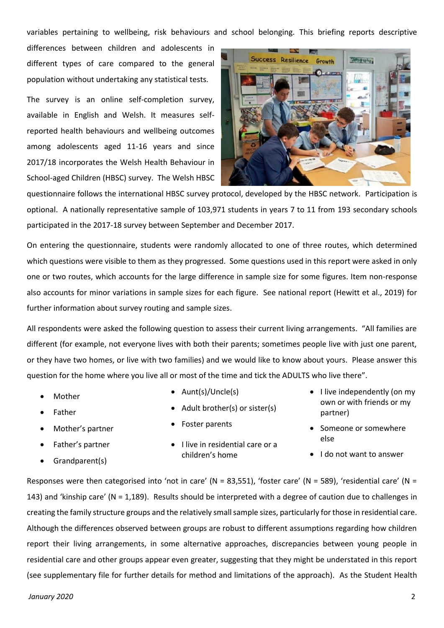variables pertaining to wellbeing, risk behaviours and school belonging. This briefing reports descriptive

differences between children and adolescents in different types of care compared to the general population without undertaking any statistical tests.

The survey is an online self-completion survey, available in English and Welsh. It measures selfreported health behaviours and wellbeing outcomes among adolescents aged 11-16 years and since 2017/18 incorporates the Welsh Health Behaviour in School-aged Children (HBSC) survey. The Welsh HBSC



questionnaire follows the international HBSC survey protocol, developed by the HBSC network. Participation is optional. A nationally representative sample of 103,971 students in years 7 to 11 from 193 secondary schools participated in the 2017-18 survey between September and December 2017.

On entering the questionnaire, students were randomly allocated to one of three routes, which determined which questions were visible to them as they progressed. Some questions used in this report were asked in only one or two routes, which accounts for the large difference in sample size for some figures. Item non-response also accounts for minor variations in sample sizes for each figure. See national report (Hewitt et al., 2019) for further information about survey routing and sample sizes.

All respondents were asked the following question to assess their current living arrangements. "All families are different (for example, not everyone lives with both their parents; sometimes people live with just one parent, or they have two homes, or live with two families) and we would like to know about yours. Please answer this question for the home where you live all or most of the time and tick the ADULTS who live there".

• Mother

**Father** 

• Aunt(s)/Uncle(s)

• Foster parents

- Adult brother(s) or sister(s)
- Mother's partner
- Father's partner
- Grandparent(s)
- I live in residential care or a children's home
- I live independently (on my own or with friends or my partner)
- Someone or somewhere else
- I do not want to answer

Responses were then categorised into 'not in care' (N = 83,551), 'foster care' (N = 589), 'residential care' (N = 143) and 'kinship care' (N = 1,189). Results should be interpreted with a degree of caution due to challenges in creating the family structure groups and the relatively small sample sizes, particularly for those in residential care. Although the differences observed between groups are robust to different assumptions regarding how children report their living arrangements, in some alternative approaches, discrepancies between young people in residential care and other groups appear even greater, suggesting that they might be understated in this report (see supplementary file for further details for method and limitations of the approach). As the Student Health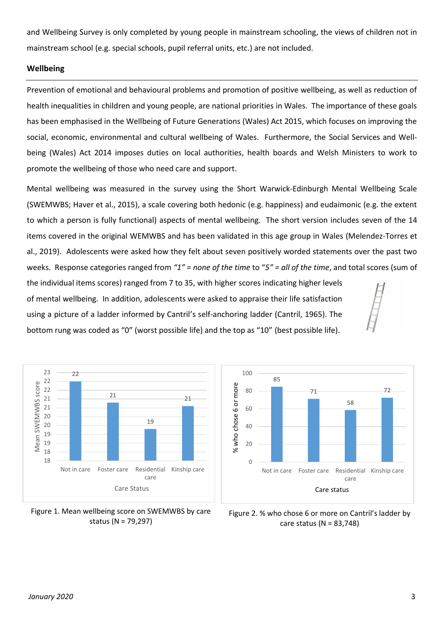and Wellbeing Survey is only completed by young people in mainstream schooling, the views of children not in mainstream school (e.g. special schools, pupil referral units, etc.) are not included.

### **Wellbeing**

Prevention of emotional and behavioural problems and promotion of positive wellbeing, as well as reduction of health inequalities in children and young people, are national priorities in Wales. The importance of these goals has been emphasised in the Wellbeing of Future Generations (Wales) Act 2015, which focuses on improving the social, economic, environmental and cultural wellbeing of Wales. Furthermore, the Social Services and Wellbeing (Wales) Act 2014 imposes duties on local authorities, health boards and Welsh Ministers to work to promote the wellbeing of those who need care and support.

Mental wellbeing was measured in the survey using the Short Warwick-Edinburgh Mental Wellbeing Scale (SWEMWBS; Haver et al., 2015), a scale covering both hedonic (e.g. happiness) and eudaimonic (e.g. the extent to which a person is fully functional) aspects of mental wellbeing. The short version includes seven of the 14 items covered in the original WEMWBS and has been validated in this age group in Wales (Melendez-Torres et al., 2019). Adolescents were asked how they felt about seven positively worded statements over the past two weeks. Response categories ranged from *"1" = none of the time* to "*5" = all of the time*, and total scores (sum of

the individual items scores) ranged from 7 to 35, with higher scores indicating higher levels of mental wellbeing. In addition, adolescents were asked to appraise their life satisfaction using a picture of a ladder informed by Cantril's self-anchoring ladder (Cantril, 1965). The bottom rung was coded as "0" (worst possible life) and the top as "10" (best possible life).





Figure 1. Mean wellbeing score on SWEMWBS by care status (N = 79,297)

Figure 2. % who chose 6 or more on Cantril's ladder by care status (N = 83,748)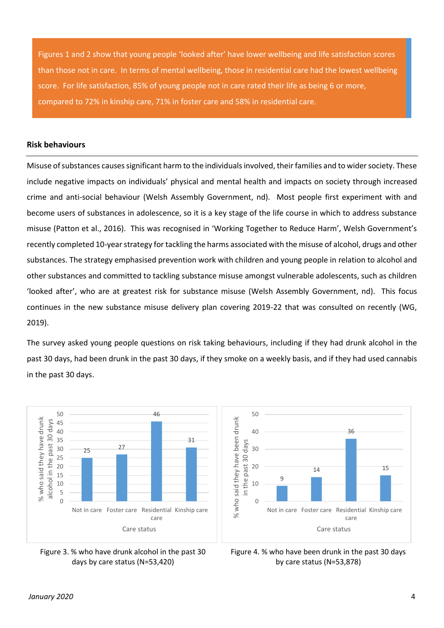Figures 1 and 2 show that young people 'looked after' have lower wellbeing and life satisfaction scores than those not in care. In terms of mental wellbeing, those in residential care had the lowest wellbeing score. For life satisfaction, 85% of young people not in care rated their life as being 6 or more, compared to 72% in kinship care, 71% in foster care and 58% in residential care.

### **Risk behaviours**

Misuse of substances causes significant harm to the individuals involved, their families and to wider society. These include negative impacts on individuals' physical and mental health and impacts on society through increased crime and anti-social behaviour (Welsh Assembly Government, nd). Most people first experiment with and become users of substances in adolescence, so it is a key stage of the life course in which to address substance misuse (Patton et al., 2016). This was recognised in 'Working Together to Reduce Harm', Welsh Government's recently completed 10-year strategy for tackling the harms associated with the misuse of alcohol, drugs and other substances. The strategy emphasised prevention work with children and young people in relation to alcohol and other substances and committed to tackling substance misuse amongst vulnerable adolescents, such as children 'looked after', who are at greatest risk for substance misuse (Welsh Assembly Government, nd). This focus continues in the new substance misuse delivery plan covering 2019-22 that was consulted on recently (WG, 2019).

The survey asked young people questions on risk taking behaviours, including if they had drunk alcohol in the past 30 days, had been drunk in the past 30 days, if they smoke on a weekly basis, and if they had used cannabis in the past 30 days.







15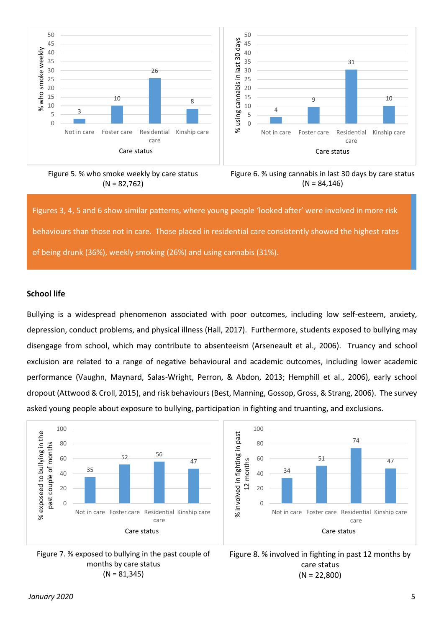

Figure 5. % who smoke weekly by care status  $(N = 82,762)$ 



Figures 3, 4, 5 and 6 show similar patterns, where young people 'looked after' were involved in more risk behaviours than those not in care. Those placed in residential care consistently showed the highest rates of being drunk (36%), weekly smoking (26%) and using cannabis (31%).

### **School life**

Bullying is a widespread phenomenon associated with poor outcomes, including low self-esteem, anxiety, depression, conduct problems, and physical illness (Hall, 2017). Furthermore, students exposed to bullying may disengage from school, which may contribute to absenteeism (Arseneault et al., 2006). Truancy and school exclusion are related to a range of negative behavioural and academic outcomes, including lower academic performance (Vaughn, Maynard, Salas-Wright, Perron, & Abdon, 2013; Hemphill et al., 2006), early school dropout (Attwood & Croll, 2015), and risk behaviours (Best, Manning, Gossop, Gross, & Strang, 2006). The survey asked young people about exposure to bullying, participation in fighting and truanting, and exclusions.







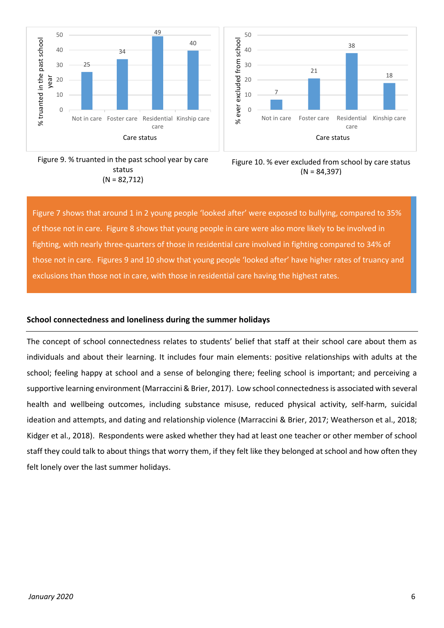





Figure 10. % ever excluded from school by care status  $(N = 84.397)$ 

Figure 7 shows that around 1 in 2 young people 'looked after' were exposed to bullying, compared to 35% of those not in care. Figure 8 shows that young people in care were also more likely to be involved in fighting, with nearly three-quarters of those in residential care involved in fighting compared to 34% of those not in care. Figures 9 and 10 show that young people 'looked after' have higher rates of truancy and exclusions than those not in care, with those in residential care having the highest rates.

50

## **School connectedness and loneliness during the summer holidays**

The concept of school connectedness relates to students' belief that staff at their school care about them as individuals and about their learning. It includes four main elements: positive relationships with adults at the school; feeling happy at school and a sense of belonging there; feeling school is important; and perceiving a supportive learning environment (Marraccini & Brier, 2017). Low school connectedness is associated with several health and wellbeing outcomes, including substance misuse, reduced physical activity, self-harm, suicidal ideation and attempts, and dating and relationship violence (Marraccini & Brier, 2017; Weatherson et al., 2018; Kidger et al., 2018). Respondents were asked whether they had at least one teacher or other member of school staff they could talk to about things that worry them, if they felt like they belonged at school and how often they felt lonely over the last summer holidays.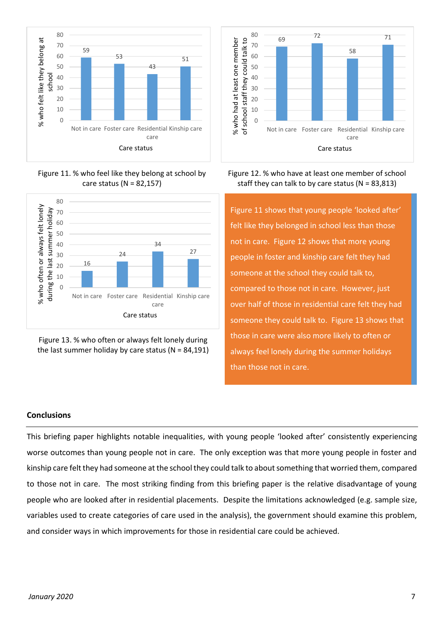

Figure 11. % who feel like they belong at school by care status (N = 82,157)







# Figure 12. % who have at least one member of school staff they can talk to by care status ( $N = 83,813$ )

Figure 11 shows that young people 'looked after' felt like they belonged in school less than those not in care. Figure 12 shows that more young people in foster and kinship care felt they had someone at the school they could talk to, compared to those not in care. However, just over half of those in residential care felt they had someone they could talk to. Figure 13 shows that those in care were also more likely to often or always feel lonely during the summer holidays than those not in care.

## **Conclusions**

This briefing paper highlights notable inequalities, with young people 'looked after' consistently experiencing worse outcomes than young people not in care. The only exception was that more young people in foster and kinship care felt they had someone at the school they could talk to about something that worried them, compared to those not in care. The most striking finding from this briefing paper is the relative disadvantage of young people who are looked after in residential placements. Despite the limitations acknowledged (e.g. sample size, variables used to create categories of care used in the analysis), the government should examine this problem, and consider ways in which improvements for those in residential care could be achieved.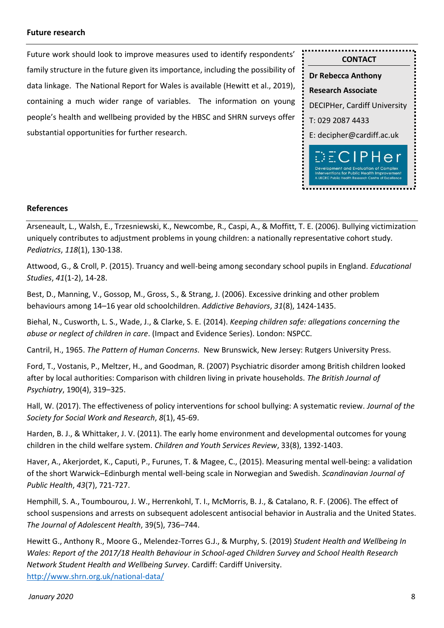### **Future research**

Future work should look to improve measures used to identify respondents' family structure in the future given its importance, including the possibility of data linkage. The National Report for Wales is available (Hewitt et al., 2019), containing a much wider range of variables. The information on young people's health and wellbeing provided by the HBSC and SHRN surveys offer substantial opportunities for further research.



### **References**

Arseneault, L., Walsh, E., Trzesniewski, K., Newcombe, R., Caspi, A., & Moffitt, T. E. (2006). Bullying victimization uniquely contributes to adjustment problems in young children: a nationally representative cohort study. *Pediatrics*, *118*(1), 130-138.

Attwood, G., & Croll, P. (2015). Truancy and well-being among secondary school pupils in England. *Educational Studies*, *41*(1-2), 14-28.

Best, D., Manning, V., Gossop, M., Gross, S., & Strang, J. (2006). Excessive drinking and other problem behaviours among 14–16 year old schoolchildren. *Addictive Behaviors*, *31*(8), 1424-1435.

Biehal, N., Cusworth, L. S., Wade, J., & Clarke, S. E. (2014). *Keeping children safe: allegations concerning the abuse or neglect of children in care*. (Impact and Evidence Series). London: NSPCC.

Cantril, H., 1965. *The Pattern of Human Concerns*. New Brunswick, New Jersey: Rutgers University Press.

Ford, T., Vostanis, P., Meltzer, H., and Goodman, R. (2007) Psychiatric disorder among British children looked after by local authorities: Comparison with children living in private households. *The British Journal of Psychiatry*, 190(4), 319–325.

Hall, W. (2017). The effectiveness of policy interventions for school bullying: A systematic review. *Journal of the Society for Social Work and Research*, *8*(1), 45-69.

Harden, B. J., & Whittaker, J. V. (2011). The early home environment and developmental outcomes for young children in the child welfare system. *Children and Youth Services Review*, 33(8), 1392-1403.

Haver, A., Akerjordet, K., Caputi, P., Furunes, T. & Magee, C., (2015). Measuring mental well-being: a validation of the short Warwick–Edinburgh mental well-being scale in Norwegian and Swedish. *Scandinavian Journal of Public Health*, *43*(7), 721-727.

Hemphill, S. A., Toumbourou, J. W., Herrenkohl, T. I., McMorris, B. J., & Catalano, R. F. (2006). The effect of school suspensions and arrests on subsequent adolescent antisocial behavior in Australia and the United States. *The Journal of Adolescent Health*, 39(5), 736–744.

Hewitt G., Anthony R., Moore G., Melendez-Torres G.J., & Murphy, S. (2019) *Student Health and Wellbeing In Wales: Report of the 2017/18 Health Behaviour in School-aged Children Survey and School Health Research Network Student Health and Wellbeing Survey*. Cardiff: Cardiff University. <http://www.shrn.org.uk/national-data/>